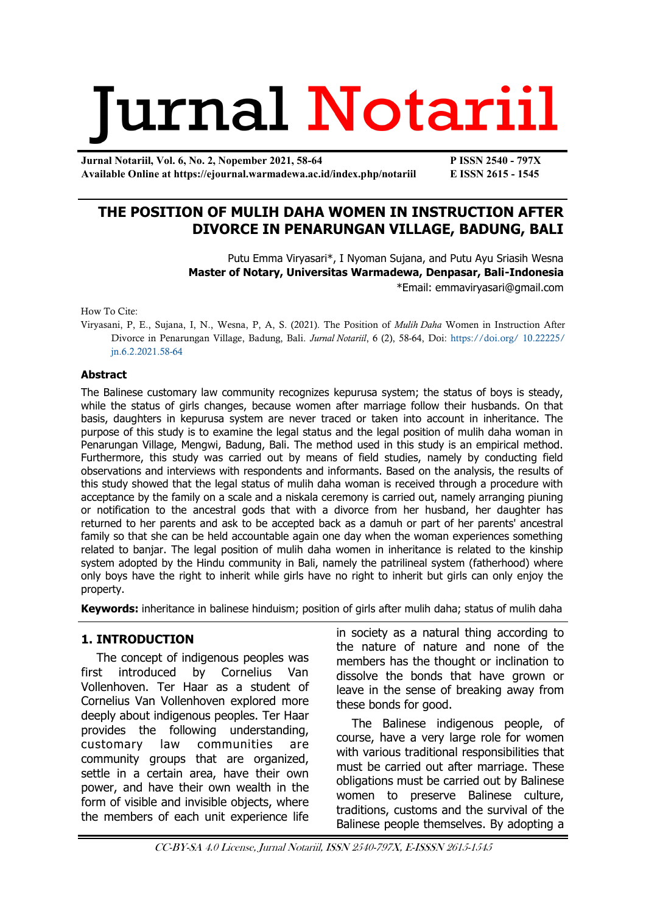# Jurnal Notariil

**Jurnal Notariil, Vol. 6, No. 2, Nopember 2021, 58-64 P ISSN 2540 - 797X Available Online at https://ejournal.warmadewa.ac.id/index.php/notariil E ISSN 2615 - 1545**

# **THE POSITION OF MULIH DAHA WOMEN IN INSTRUCTION AFTER DIVORCE IN PENARUNGAN VILLAGE, BADUNG, BALI**

Putu Emma Viryasari\*, I Nyoman Sujana, and Putu Ayu Sriasih Wesna **Master of Notary, Universitas Warmadewa, Denpasar, Bali-Indonesia** \*Email: [emmaviryasari@gmail.com](mailto:emmaviryasari@gmail.com)

How To Cite:

Viryasani, P, E., Sujana, I, N., Wesna, P, A, S. (2021). The Position of *Mulih Daha* Women in Instruction After Divorce in Penarungan Village, Badung, Bali. *Jurnal Notariil*, 6 (2), 58-64, Doi: [https://doi.org/](https://ejournal.warmadewa.id/index.php/notariil/article/view/4057) 10.22225/ [jn.6.2.2021.58-64](https://ejournal.warmadewa.id/index.php/notariil/article/view/4057)

#### **Abstract**

The Balinese customary law community recognizes kepurusa system; the status of boys is steady, while the status of girls changes, because women after marriage follow their husbands. On that basis, daughters in kepurusa system are never traced or taken into account in inheritance. The purpose of this study is to examine the legal status and the legal position of mulih daha woman in Penarungan Village, Mengwi, Badung, Bali. The method used in this study is an empirical method. Furthermore, this study was carried out by means of field studies, namely by conducting field observations and interviews with respondents and informants. Based on the analysis, the results of this study showed that the legal status of mulih daha woman is received through a procedure with acceptance by the family on a scale and a niskala ceremony is carried out, namely arranging piuning or notification to the ancestral gods that with a divorce from her husband, her daughter has returned to her parents and ask to be accepted back as a damuh or part of her parents' ancestral family so that she can be held accountable again one day when the woman experiences something related to banjar. The legal position of mulih daha women in inheritance is related to the kinship system adopted by the Hindu community in Bali, namely the patrilineal system (fatherhood) where only boys have the right to inherit while girls have no right to inherit but girls can only enjoy the property.

**Keywords:** inheritance in balinese hinduism; position of girls after mulih daha; status of mulih daha

## **1. INTRODUCTION**

The concept of indigenous peoples was first introduced by Cornelius Van Vollenhoven. Ter Haar as a student of Cornelius Van Vollenhoven explored more deeply about indigenous peoples. Ter Haar provides the following understanding, customary law communities are community groups that are organized, settle in a certain area, have their own power, and have their own wealth in the form of visible and invisible objects, where the members of each unit experience life

in society as a natural thing according to the nature of nature and none of the members has the thought or inclination to dissolve the bonds that have grown or leave in the sense of breaking away from these bonds for good.

The Balinese indigenous people, of course, have a very large role for women with various traditional responsibilities that must be carried out after marriage. These obligations must be carried out by Balinese women to preserve Balinese culture, traditions, customs and the survival of the Balinese people themselves. By adopting a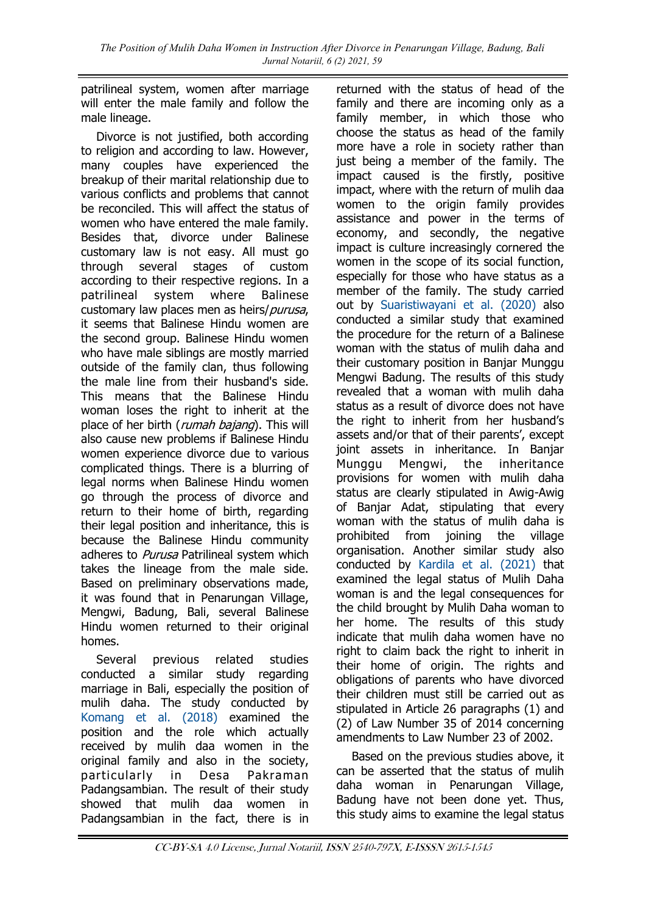patrilineal system, women after marriage will enter the male family and follow the male lineage.

Divorce is not justified, both according to religion and according to law. However, many couples have experienced the breakup of their marital relationship due to various conflicts and problems that cannot be reconciled. This will affect the status of women who have entered the male family. Besides that, divorce under Balinese customary law is not easy. All must go through several stages of custom according to their respective regions. In a patrilineal system where Balinese customary law places men as heirs/purusa, it seems that Balinese Hindu women are the second group. Balinese Hindu women who have male siblings are mostly married outside of the family clan, thus following the male line from their husband's side. This means that the Balinese Hindu woman loses the right to inherit at the place of her birth (*rumah bajang*). This will also cause new problems if Balinese Hindu women experience divorce due to various complicated things. There is a blurring of legal norms when Balinese Hindu women go through the process of divorce and return to their home of birth, regarding their legal position and inheritance, this is because the Balinese Hindu community adheres to *Purusa* Patrilineal system which takes the lineage from the male side. Based on preliminary observations made, it was found that in Penarungan Village, Mengwi, Badung, Bali, several Balinese Hindu women returned to their original homes.

Several previous related studies conducted a similar study regarding marriage in Bali, especially the position of mulih daha. The study conducted by [Komang et al. \(2018\)](#page-6-0) examined the position and the role which actually received by mulih daa women in the original family and also in the society, particularly in Desa Pakraman Padangsambian. The result of their study showed that mulih daa women in Padangsambian in the fact, there is in

returned with the status of head of the family and there are incoming only as a family member, in which those who choose the status as head of the family more have a role in society rather than just being a member of the family. The impact caused is the firstly, positive impact, where with the return of mulih daa women to the origin family provides assistance and power in the terms of economy, and secondly, the negative impact is culture increasingly cornered the women in the scope of its social function, especially for those who have status as a member of the family. The study carried out by [Suaristiwayani et al. \(2020\)](#page-6-0) also conducted a similar study that examined the procedure for the return of a Balinese woman with the status of mulih daha and their customary position in Banjar Munggu Mengwi Badung. The results of this study revealed that a woman with mulih daha status as a result of divorce does not have the right to inherit from her husband's assets and/or that of their parents', except joint assets in inheritance. In Banjar Munggu Mengwi, the inheritance provisions for women with mulih daha status are clearly stipulated in Awig-Awig of Banjar Adat, stipulating that every woman with the status of mulih daha is prohibited from joining the village organisation. Another similar study also conducted by [Kardila et al. \(2021\)](#page-6-0) that examined the legal status of Mulih Daha woman is and the legal consequences for the child brought by Mulih Daha woman to her home. The results of this study indicate that mulih daha women have no right to claim back the right to inherit in their home of origin. The rights and obligations of parents who have divorced their children must still be carried out as stipulated in Article 26 paragraphs (1) and (2) of Law Number 35 of 2014 concerning amendments to Law Number 23 of 2002.

Based on the previous studies above, it can be asserted that the status of mulih daha woman in Penarungan Village, Badung have not been done yet. Thus, this study aims to examine the legal status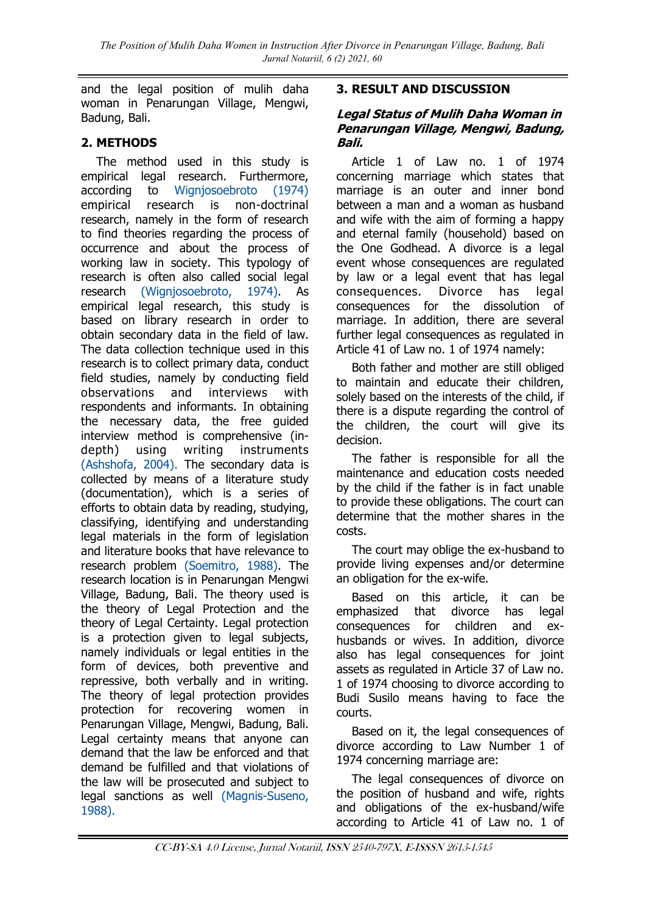and the legal position of mulih daha woman in Penarungan Village, Mengwi, Badung, Bali.

# **2. METHODS**

The method used in this study is empirical legal research. Furthermore, according to [Wignjosoebroto \(1974\)](#page-6-0) empirical research is non-doctrinal research, namely in the form of research to find theories regarding the process of occurrence and about the process of working law in society. This typology of research is often also called social legal research [\(Wignjosoebroto, 1974\).](#page-6-0) As empirical legal research, this study is based on library research in order to obtain secondary data in the field of law. The data collection technique used in this research is to collect primary data, conduct field studies, namely by conducting field observations and interviews with respondents and informants. In obtaining the necessary data, the free guided interview method is comprehensive (indepth) using writing instruments [\(Ashshofa, 2004\).](#page-6-0) The secondary data is collected by means of a literature study (documentation), which is a series of efforts to obtain data by reading, studying, classifying, identifying and understanding legal materials in the form of legislation and literature books that have relevance to research problem [\(Soemitro, 1988\).](#page-6-0) The research location is in Penarungan Mengwi Village, Badung, Bali. The theory used is the theory of Legal Protection and the theory of Legal Certainty. Legal protection is a protection given to legal subjects, namely individuals or legal entities in the form of devices, both preventive and repressive, both verbally and in writing. The theory of legal protection provides protection for recovering women in Penarungan Village, Mengwi, Badung, Bali. Legal certainty means that anyone can demand that the law be enforced and that demand be fulfilled and that violations of the law will be prosecuted and subject to legal sanctions as well [\(Magnis-Suseno,](#page-6-0)  [1988\).](#page-6-0)

## **3. RESULT AND DISCUSSION**

### **Legal Status of Mulih Daha Woman in Penarungan Village, Mengwi, Badung, Bali.**

Article 1 of Law no. 1 of 1974 concerning marriage which states that marriage is an outer and inner bond between a man and a woman as husband and wife with the aim of forming a happy and eternal family (household) based on the One Godhead. A divorce is a legal event whose consequences are regulated by law or a legal event that has legal consequences. Divorce has legal consequences for the dissolution of marriage. In addition, there are several further legal consequences as regulated in Article 41 of Law no. 1 of 1974 namely:

Both father and mother are still obliged to maintain and educate their children, solely based on the interests of the child, if there is a dispute regarding the control of the children, the court will give its decision.

The father is responsible for all the maintenance and education costs needed by the child if the father is in fact unable to provide these obligations. The court can determine that the mother shares in the costs.

The court may oblige the ex-husband to provide living expenses and/or determine an obligation for the ex-wife.

Based on this article, it can be emphasized that divorce has legal consequences for children and exhusbands or wives. In addition, divorce also has legal consequences for joint assets as regulated in Article 37 of Law no. 1 of 1974 choosing to divorce according to Budi Susilo means having to face the courts.

Based on it, the legal consequences of divorce according to Law Number 1 of 1974 concerning marriage are:

The legal consequences of divorce on the position of husband and wife, rights and obligations of the ex-husband/wife according to Article 41 of Law no. 1 of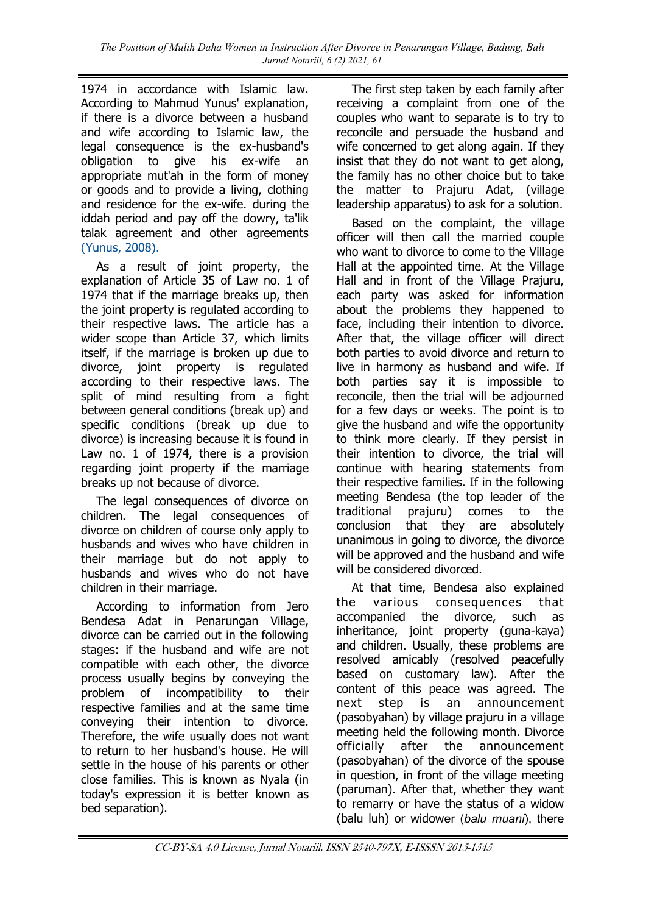1974 in accordance with Islamic law. According to Mahmud Yunus' explanation, if there is a divorce between a husband and wife according to Islamic law, the legal consequence is the ex-husband's obligation to give his ex-wife an appropriate mut'ah in the form of money or goods and to provide a living, clothing and residence for the ex-wife. during the iddah period and pay off the dowry, ta'lik talak agreement and other agreements [\(Yunus, 2008\).](#page-6-0)

As a result of joint property, the explanation of Article 35 of Law no. 1 of 1974 that if the marriage breaks up, then the joint property is regulated according to their respective laws. The article has a wider scope than Article 37, which limits itself, if the marriage is broken up due to divorce, joint property is regulated according to their respective laws. The split of mind resulting from a fight between general conditions (break up) and specific conditions (break up due to divorce) is increasing because it is found in Law no. 1 of 1974, there is a provision regarding joint property if the marriage breaks up not because of divorce.

The legal consequences of divorce on children. The legal consequences of divorce on children of course only apply to husbands and wives who have children in their marriage but do not apply to husbands and wives who do not have children in their marriage.

According to information from Jero Bendesa Adat in Penarungan Village, divorce can be carried out in the following stages: if the husband and wife are not compatible with each other, the divorce process usually begins by conveying the problem of incompatibility to their respective families and at the same time conveying their intention to divorce. Therefore, the wife usually does not want to return to her husband's house. He will settle in the house of his parents or other close families. This is known as Nyala (in today's expression it is better known as bed separation).

The first step taken by each family after receiving a complaint from one of the couples who want to separate is to try to reconcile and persuade the husband and wife concerned to get along again. If they insist that they do not want to get along, the family has no other choice but to take the matter to Prajuru Adat, (village leadership apparatus) to ask for a solution.

Based on the complaint, the village officer will then call the married couple who want to divorce to come to the Village Hall at the appointed time. At the Village Hall and in front of the Village Prajuru, each party was asked for information about the problems they happened to face, including their intention to divorce. After that, the village officer will direct both parties to avoid divorce and return to live in harmony as husband and wife. If both parties say it is impossible to reconcile, then the trial will be adjourned for a few days or weeks. The point is to give the husband and wife the opportunity to think more clearly. If they persist in their intention to divorce, the trial will continue with hearing statements from their respective families. If in the following meeting Bendesa (the top leader of the traditional prajuru) comes to the conclusion that they are absolutely unanimous in going to divorce, the divorce will be approved and the husband and wife will be considered divorced.

At that time, Bendesa also explained the various consequences that accompanied the divorce, such as inheritance, joint property (guna-kaya) and children. Usually, these problems are resolved amicably (resolved peacefully based on customary law). After the content of this peace was agreed. The next step is an announcement (pasobyahan) by village prajuru in a village meeting held the following month. Divorce officially after the announcement (pasobyahan) of the divorce of the spouse in question, in front of the village meeting (paruman). After that, whether they want to remarry or have the status of a widow (balu luh) or widower (*balu muani*), there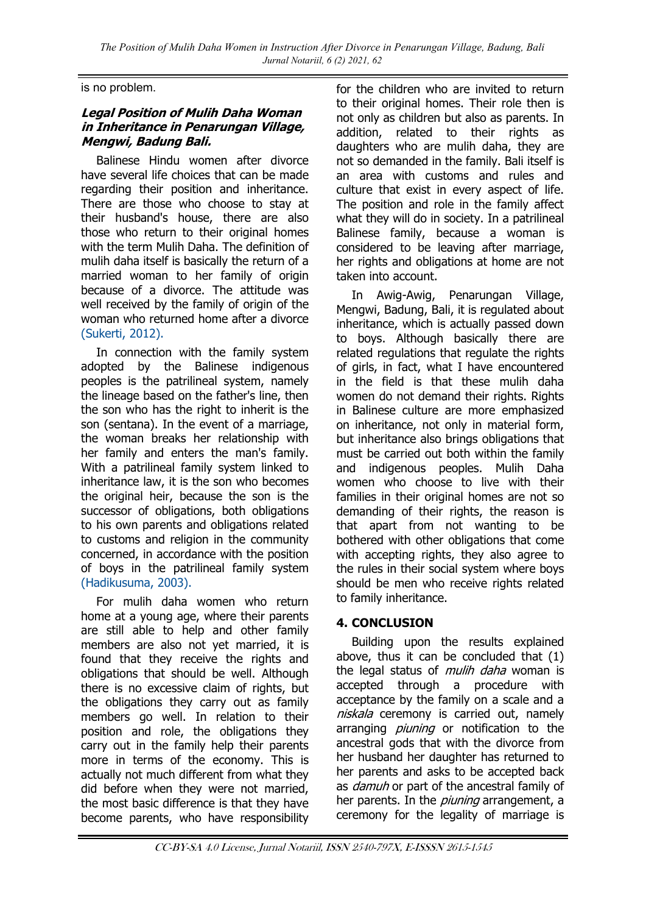is no problem.

#### **Legal Position of Mulih Daha Woman in Inheritance in Penarungan Village, Mengwi, Badung Bali.**

Balinese Hindu women after divorce have several life choices that can be made regarding their position and inheritance. There are those who choose to stay at their husband's house, there are also those who return to their original homes with the term Mulih Daha. The definition of mulih daha itself is basically the return of a married woman to her family of origin because of a divorce. The attitude was well received by the family of origin of the woman who returned home after a divorce [\(Sukerti, 2012\).](#page-6-0)

In connection with the family system adopted by the Balinese indigenous peoples is the patrilineal system, namely the lineage based on the father's line, then the son who has the right to inherit is the son (sentana). In the event of a marriage, the woman breaks her relationship with her family and enters the man's family. With a patrilineal family system linked to inheritance law, it is the son who becomes the original heir, because the son is the successor of obligations, both obligations to his own parents and obligations related to customs and religion in the community concerned, in accordance with the position of boys in the patrilineal family system [\(Hadikusuma, 2003\).](#page-6-0)

For mulih daha women who return home at a young age, where their parents are still able to help and other family members are also not yet married, it is found that they receive the rights and obligations that should be well. Although there is no excessive claim of rights, but the obligations they carry out as family members go well. In relation to their position and role, the obligations they carry out in the family help their parents more in terms of the economy. This is actually not much different from what they did before when they were not married, the most basic difference is that they have become parents, who have responsibility

for the children who are invited to return to their original homes. Their role then is not only as children but also as parents. In addition, related to their rights as daughters who are mulih daha, they are not so demanded in the family. Bali itself is an area with customs and rules and culture that exist in every aspect of life. The position and role in the family affect what they will do in society. In a patrilineal Balinese family, because a woman is considered to be leaving after marriage, her rights and obligations at home are not taken into account.

In Awig-Awig, Penarungan Village, Mengwi, Badung, Bali, it is regulated about inheritance, which is actually passed down to boys. Although basically there are related regulations that regulate the rights of girls, in fact, what I have encountered in the field is that these mulih daha women do not demand their rights. Rights in Balinese culture are more emphasized on inheritance, not only in material form, but inheritance also brings obligations that must be carried out both within the family and indigenous peoples. Mulih Daha women who choose to live with their families in their original homes are not so demanding of their rights, the reason is that apart from not wanting to be bothered with other obligations that come with accepting rights, they also agree to the rules in their social system where boys should be men who receive rights related to family inheritance.

## **4. CONCLUSION**

Building upon the results explained above, thus it can be concluded that (1) the legal status of *mulih daha* woman is accepted through a procedure with acceptance by the family on a scale and a niskala ceremony is carried out, namely arranging *piuning* or notification to the ancestral gods that with the divorce from her husband her daughter has returned to her parents and asks to be accepted back as *damuh* or part of the ancestral family of her parents. In the *piuning* arrangement, a ceremony for the legality of marriage is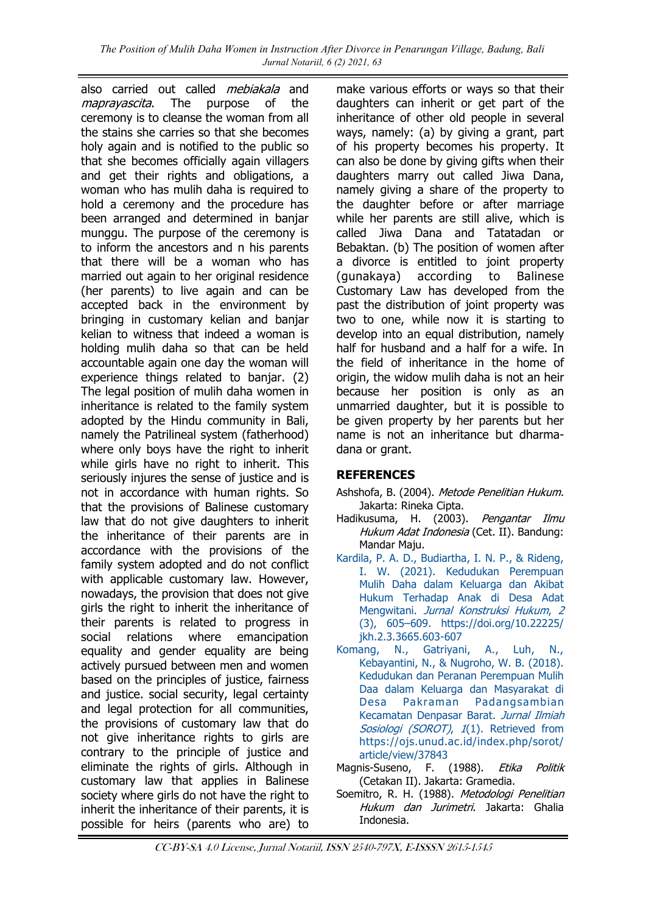also carried out called *mebiakala* and maprayascita. The purpose of the ceremony is to cleanse the woman from all the stains she carries so that she becomes holy again and is notified to the public so that she becomes officially again villagers and get their rights and obligations, a woman who has mulih daha is required to hold a ceremony and the procedure has been arranged and determined in banjar munggu. The purpose of the ceremony is to inform the ancestors and n his parents that there will be a woman who has married out again to her original residence (her parents) to live again and can be accepted back in the environment by bringing in customary kelian and banjar kelian to witness that indeed a woman is holding mulih daha so that can be held accountable again one day the woman will experience things related to banjar. (2) The legal position of mulih daha women in inheritance is related to the family system adopted by the Hindu community in Bali, namely the Patrilineal system (fatherhood) where only boys have the right to inherit while girls have no right to inherit. This seriously injures the sense of justice and is not in accordance with human rights. So that the provisions of Balinese customary law that do not give daughters to inherit the inheritance of their parents are in accordance with the provisions of the family system adopted and do not conflict with applicable customary law. However, nowadays, the provision that does not give girls the right to inherit the inheritance of their parents is related to progress in social relations where emancipation equality and gender equality are being actively pursued between men and women based on the principles of justice, fairness and justice. social security, legal certainty and legal protection for all communities, the provisions of customary law that do not give inheritance rights to girls are contrary to the principle of justice and eliminate the rights of girls. Although in customary law that applies in Balinese society where girls do not have the right to inherit the inheritance of their parents, it is possible for heirs (parents who are) to

make various efforts or ways so that their daughters can inherit or get part of the inheritance of other old people in several ways, namely: (a) by giving a grant, part of his property becomes his property. It can also be done by giving gifts when their daughters marry out called Jiwa Dana, namely giving a share of the property to the daughter before or after marriage while her parents are still alive, which is called Jiwa Dana and Tatatadan or Bebaktan. (b) The position of women after a divorce is entitled to joint property (gunakaya) according to Balinese Customary Law has developed from the past the distribution of joint property was two to one, while now it is starting to develop into an equal distribution, namely half for husband and a half for a wife. In the field of inheritance in the home of origin, the widow mulih daha is not an heir because her position is only as an unmarried daughter, but it is possible to be given property by her parents but her name is not an inheritance but dharmadana or grant.

# **REFERENCES**

- Ashshofa, B. (2004). Metode Penelitian Hukum. Jakarta: Rineka Cipta.
- Hadikusuma, H. (2003). Pengantar Ilmu Hukum Adat Indonesia (Cet. II). Bandung: Mandar Maju.
- [Kardila, P. A. D., Budiartha, I. N. P., & Rideng,](https://doi.org/10.22225/jkh.2.3.3665.603-607)  [I. W. \(2021\). Kedudukan Perempuan](https://doi.org/10.22225/jkh.2.3.3665.603-607)  [Mulih Daha dalam Keluarga dan Akibat](https://doi.org/10.22225/jkh.2.3.3665.603-607)  [Hukum Terhadap Anak di Desa Adat](https://doi.org/10.22225/jkh.2.3.3665.603-607)  Mengwitani. [Jurnal Konstruksi Hukum](https://doi.org/10.22225/jkh.2.3.3665.603-607), 2 (3), 605–[609. https://doi.org/10.22225/](https://doi.org/10.22225/jkh.2.3.3665.603-607) [jkh.2.3.3665.603-607](https://doi.org/10.22225/jkh.2.3.3665.603-607)
- [Komang, N., Gatriyani, A., Luh, N.,](https://ojs.unud.ac.id/index.php/sorot/article/view/37843)  [Kebayantini, N., & Nugroho, W. B. \(2018\).](https://ojs.unud.ac.id/index.php/sorot/article/view/37843)  [Kedudukan dan Peranan Perempuan Mulih](https://ojs.unud.ac.id/index.php/sorot/article/view/37843)  [Daa dalam Keluarga dan Masyarakat di](https://ojs.unud.ac.id/index.php/sorot/article/view/37843)  [Desa Pakraman Padangsambian](https://ojs.unud.ac.id/index.php/sorot/article/view/37843)  [Kecamatan Denpasar Barat.](https://ojs.unud.ac.id/index.php/sorot/article/view/37843) Jurnal Ilmiah Sosiologi (SOROT), 1(1). Retrieved from [https://ojs.unud.ac.id/index.php/sorot/](https://ojs.unud.ac.id/index.php/sorot/article/view/37843) [article/view/37843](https://ojs.unud.ac.id/index.php/sorot/article/view/37843)
- Magnis-Suseno, F. (1988). Etika Politik (Cetakan II). Jakarta: Gramedia.
- Soemitro, R. H. (1988). Metodologi Penelitian Hukum dan Jurimetri. Jakarta: Ghalia Indonesia.